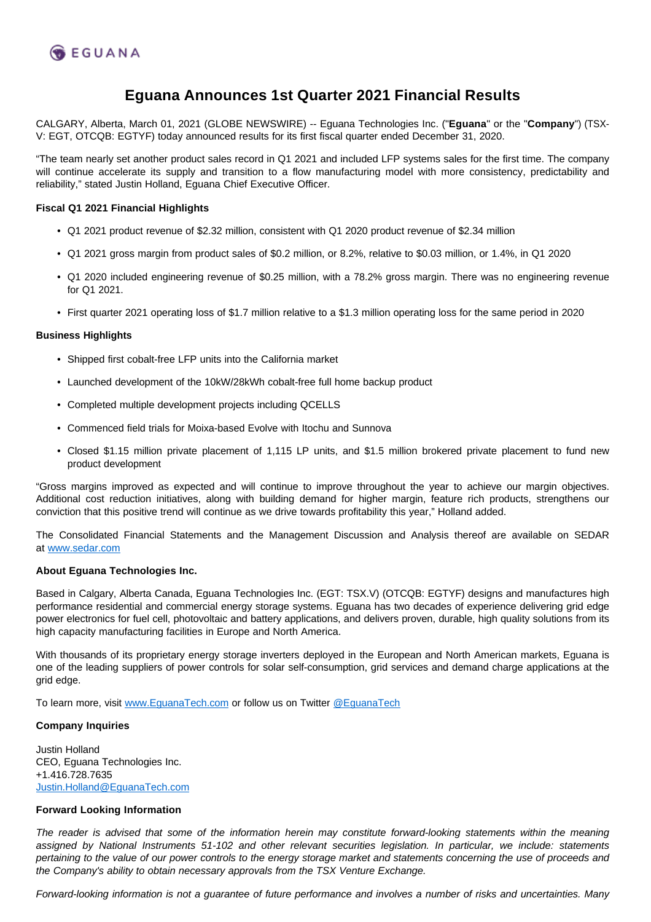

# **Eguana Announces 1st Quarter 2021 Financial Results**

CALGARY, Alberta, March 01, 2021 (GLOBE NEWSWIRE) -- Eguana Technologies Inc. ("**Eguana**" or the "**Company**") (TSX-V: EGT, OTCQB: EGTYF) today announced results for its first fiscal quarter ended December 31, 2020.

"The team nearly set another product sales record in Q1 2021 and included LFP systems sales for the first time. The company will continue accelerate its supply and transition to a flow manufacturing model with more consistency, predictability and reliability," stated Justin Holland, Eguana Chief Executive Officer.

## **Fiscal Q1 2021 Financial Highlights**

- Q1 2021 product revenue of \$2.32 million, consistent with Q1 2020 product revenue of \$2.34 million
- Q1 2021 gross margin from product sales of \$0.2 million, or 8.2%, relative to \$0.03 million, or 1.4%, in Q1 2020
- Q1 2020 included engineering revenue of \$0.25 million, with a 78.2% gross margin. There was no engineering revenue for Q1 2021.
- First quarter 2021 operating loss of \$1.7 million relative to a \$1.3 million operating loss for the same period in 2020

## **Business Highlights**

- Shipped first cobalt-free LFP units into the California market
- Launched development of the 10kW/28kWh cobalt-free full home backup product
- Completed multiple development projects including QCELLS
- Commenced field trials for Moixa-based Evolve with Itochu and Sunnova
- Closed \$1.15 million private placement of 1,115 LP units, and \$1.5 million brokered private placement to fund new product development

"Gross margins improved as expected and will continue to improve throughout the year to achieve our margin objectives. Additional cost reduction initiatives, along with building demand for higher margin, feature rich products, strengthens our conviction that this positive trend will continue as we drive towards profitability this year," Holland added.

The Consolidated Financial Statements and the Management Discussion and Analysis thereof are available on SEDAR at [www.sedar.com](http://www.sedar.com/)

#### **About Eguana Technologies Inc.**

Based in Calgary, Alberta Canada, Eguana Technologies Inc. (EGT: TSX.V) (OTCQB: EGTYF) designs and manufactures high performance residential and commercial energy storage systems. Eguana has two decades of experience delivering grid edge power electronics for fuel cell, photovoltaic and battery applications, and delivers proven, durable, high quality solutions from its high capacity manufacturing facilities in Europe and North America.

With thousands of its proprietary energy storage inverters deployed in the European and North American markets, Eguana is one of the leading suppliers of power controls for solar self-consumption, grid services and demand charge applications at the grid edge.

To learn more, visit [www.EguanaTech.com](http://www.eguanatech.com/) or follow us on Twitter [@EguanaTech](https://twitter.com/EguanaTech)

#### **Company Inquiries**

Justin Holland CEO, Eguana Technologies Inc. +1.416.728.7635 [Justin.Holland@EguanaTech.com](mailto:Justin.Holland@EguanaTech.com)

# **Forward Looking Information**

The reader is advised that some of the information herein may constitute forward-looking statements within the meaning assigned by National Instruments 51-102 and other relevant securities legislation. In particular, we include: statements pertaining to the value of our power controls to the energy storage market and statements concerning the use of proceeds and the Company's ability to obtain necessary approvals from the TSX Venture Exchange.

Forward-looking information is not a guarantee of future performance and involves a number of risks and uncertainties. Many